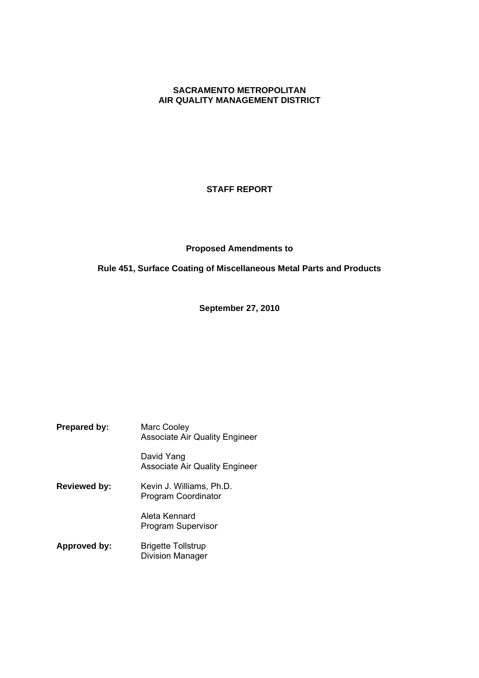# **SACRAMENTO METROPOLITAN AIR QUALITY MANAGEMENT DISTRICT**

# **STAFF REPORT**

# **Proposed Amendments to**

# **Rule 451, Surface Coating of Miscellaneous Metal Parts and Products**

**September 27, 2010**

| <b>Prepared by:</b> | Marc Cooley<br><b>Associate Air Quality Engineer</b> |
|---------------------|------------------------------------------------------|
|                     | David Yang<br><b>Associate Air Quality Engineer</b>  |
| <b>Reviewed by:</b> | Kevin J. Williams, Ph.D.<br>Program Coordinator      |
|                     | Aleta Kennard<br><b>Program Supervisor</b>           |
| <b>Approved by:</b> | <b>Brigette Tollstrup</b><br><b>Division Manager</b> |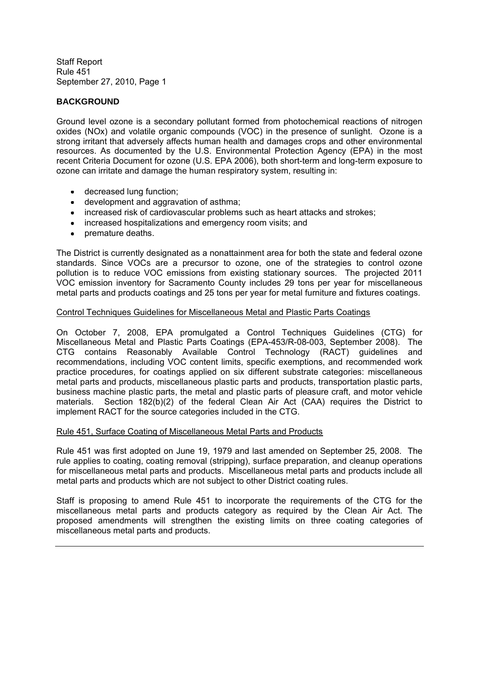# **BACKGROUND**

Ground level ozone is a secondary pollutant formed from photochemical reactions of nitrogen oxides (NOx) and volatile organic compounds (VOC) in the presence of sunlight. Ozone is a strong irritant that adversely affects human health and damages crops and other environmental resources. As documented by the U.S. Environmental Protection Agency (EPA) in the most recent Criteria Document for ozone (U.S. EPA 2006), both short-term and long-term exposure to ozone can irritate and damage the human respiratory system, resulting in:

- decreased lung function;
- development and aggravation of asthma:
- increased risk of cardiovascular problems such as heart attacks and strokes;
- increased hospitalizations and emergency room visits; and
- premature deaths.

The District is currently designated as a nonattainment area for both the state and federal ozone standards. Since VOCs are a precursor to ozone, one of the strategies to control ozone pollution is to reduce VOC emissions from existing stationary sources. The projected 2011 VOC emission inventory for Sacramento County includes 29 tons per year for miscellaneous metal parts and products coatings and 25 tons per year for metal furniture and fixtures coatings.

#### Control Techniques Guidelines for Miscellaneous Metal and Plastic Parts Coatings

On October 7, 2008, EPA promulgated a Control Techniques Guidelines (CTG) for Miscellaneous Metal and Plastic Parts Coatings (EPA-453/R-08-003, September 2008). The CTG contains Reasonably Available Control Technology (RACT) guidelines and recommendations, including VOC content limits, specific exemptions, and recommended work practice procedures, for coatings applied on six different substrate categories: miscellaneous metal parts and products, miscellaneous plastic parts and products, transportation plastic parts, business machine plastic parts, the metal and plastic parts of pleasure craft, and motor vehicle materials. Section 182(b)(2) of the federal Clean Air Act (CAA) requires the District to implement RACT for the source categories included in the CTG.

#### Rule 451, Surface Coating of Miscellaneous Metal Parts and Products

Rule 451 was first adopted on June 19, 1979 and last amended on September 25, 2008. The rule applies to coating, coating removal (stripping), surface preparation, and cleanup operations for miscellaneous metal parts and products. Miscellaneous metal parts and products include all metal parts and products which are not subject to other District coating rules.

Staff is proposing to amend Rule 451 to incorporate the requirements of the CTG for the miscellaneous metal parts and products category as required by the Clean Air Act. The proposed amendments will strengthen the existing limits on three coating categories of miscellaneous metal parts and products.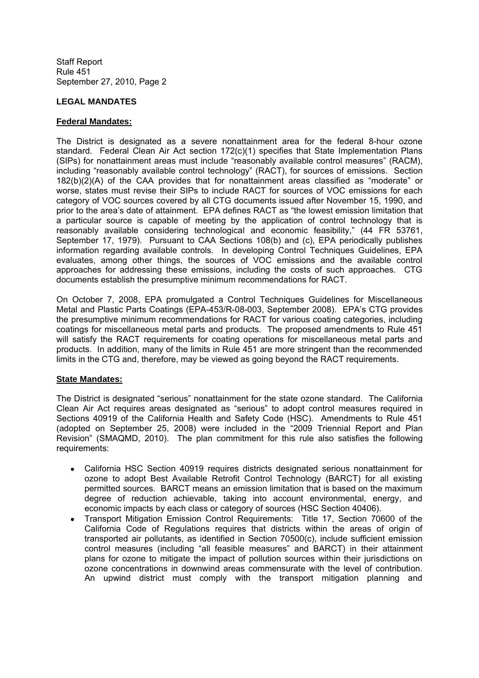# **LEGAL MANDATES**

## **Federal Mandates:**

The District is designated as a severe nonattainment area for the federal 8-hour ozone standard. Federal Clean Air Act section 172(c)(1) specifies that State Implementation Plans (SIPs) for nonattainment areas must include "reasonably available control measures" (RACM), including "reasonably available control technology" (RACT), for sources of emissions. Section  $182(b)(2)(A)$  of the CAA provides that for nonattainment areas classified as "moderate" or worse, states must revise their SIPs to include RACT for sources of VOC emissions for each category of VOC sources covered by all CTG documents issued after November 15, 1990, and prior to the area's date of attainment. EPA defines RACT as "the lowest emission limitation that a particular source is capable of meeting by the application of control technology that is reasonably available considering technological and economic feasibility," (44 FR 53761, September 17, 1979). Pursuant to CAA Sections 108(b) and (c), EPA periodically publishes information regarding available controls. In developing Control Techniques Guidelines, EPA evaluates, among other things, the sources of VOC emissions and the available control approaches for addressing these emissions, including the costs of such approaches. CTG documents establish the presumptive minimum recommendations for RACT.

On October 7, 2008, EPA promulgated a Control Techniques Guidelines for Miscellaneous Metal and Plastic Parts Coatings (EPA-453/R-08-003, September 2008). EPA's CTG provides the presumptive minimum recommendations for RACT for various coating categories, including coatings for miscellaneous metal parts and products. The proposed amendments to Rule 451 will satisfy the RACT requirements for coating operations for miscellaneous metal parts and products. In addition, many of the limits in Rule 451 are more stringent than the recommended limits in the CTG and, therefore, may be viewed as going beyond the RACT requirements.

#### **State Mandates:**

The District is designated "serious" nonattainment for the state ozone standard. The California Clean Air Act requires areas designated as "serious" to adopt control measures required in Sections 40919 of the California Health and Safety Code (HSC). Amendments to Rule 451 (adopted on September 25, 2008) were included in the "2009 Triennial Report and Plan Revision" (SMAQMD, 2010). The plan commitment for this rule also satisfies the following requirements:

- California HSC Section 40919 requires districts designated serious nonattainment for  $\bullet$ ozone to adopt Best Available Retrofit Control Technology (BARCT) for all existing permitted sources. BARCT means an emission limitation that is based on the maximum degree of reduction achievable, taking into account environmental, energy, and economic impacts by each class or category of sources (HSC Section 40406).
- Transport Mitigation Emission Control Requirements: Title 17, Section 70600 of the California Code of Regulations requires that districts within the areas of origin of transported air pollutants, as identified in Section 70500(c), include sufficient emission control measures (including "all feasible measures" and BARCT) in their attainment plans for ozone to mitigate the impact of pollution sources within their jurisdictions on ozone concentrations in downwind areas commensurate with the level of contribution. An upwind district must comply with the transport mitigation planning and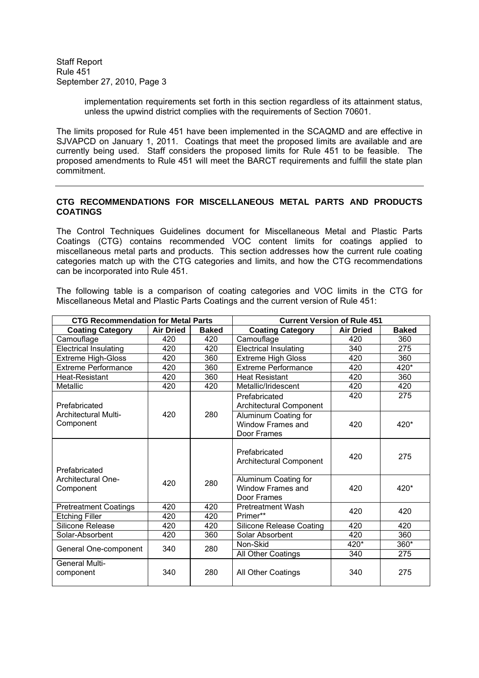> implementation requirements set forth in this section regardless of its attainment status, unless the upwind district complies with the requirements of Section 70601.

The limits proposed for Rule 451 have been implemented in the SCAQMD and are effective in SJVAPCD on January 1, 2011. Coatings that meet the proposed limits are available and are currently being used. Staff considers the proposed limits for Rule 451 to be feasible. The proposed amendments to Rule 451 will meet the BARCT requirements and fulfill the state plan commitment.

# **CTG RECOMMENDATIONS FOR MISCELLANEOUS METAL PARTS AND PRODUCTS COATINGS**

The Control Techniques Guidelines document for Miscellaneous Metal and Plastic Parts Coatings (CTG) contains recommended VOC content limits for coatings applied to miscellaneous metal parts and products. This section addresses how the current rule coating categories match up with the CTG categories and limits, and how the CTG recommendations can be incorporated into Rule 451.

The following table is a comparison of coating categories and VOC limits in the CTG for Miscellaneous Metal and Plastic Parts Coatings and the current version of Rule 451:

|                                          | <b>CTG Recommendation for Metal Parts</b> |              |                                                                 | <b>Current Version of Rule 451</b> |              |
|------------------------------------------|-------------------------------------------|--------------|-----------------------------------------------------------------|------------------------------------|--------------|
| <b>Coating Category</b>                  | <b>Air Dried</b>                          | <b>Baked</b> | <b>Coating Category</b>                                         | <b>Air Dried</b>                   | <b>Baked</b> |
| Camouflage                               | 420                                       | 420          | Camouflage                                                      | 420                                | 360          |
| <b>Electrical Insulating</b>             | 420                                       | 420          | <b>Electrical Insulating</b>                                    | 340                                | 275          |
| Extreme High-Gloss                       | 420                                       | 360          | <b>Extreme High Gloss</b>                                       | 420                                | 360          |
| <b>Extreme Performance</b>               | 420                                       | 360          | <b>Extreme Performance</b>                                      | 420                                | 420*         |
| Heat-Resistant                           | 420                                       | 360          | <b>Heat Resistant</b>                                           | 420                                | 360          |
| Metallic                                 | 420                                       | 420          | Metallic/Iridescent                                             | 420                                | 420          |
| Prefabricated                            |                                           |              | Prefabricated<br>Architectural Component                        | 420                                | 275          |
| <b>Architectural Multi-</b><br>Component | 420                                       | 280          | Aluminum Coating for<br>Window Frames and<br>Door Frames        | 420                                | 420*         |
| Prefabricated                            |                                           |              | Prefabricated<br><b>Architectural Component</b>                 | 420                                | 275          |
| <b>Architectural One-</b><br>Component   | 420                                       | 280          | Aluminum Coating for<br><b>Window Frames and</b><br>Door Frames | 420                                | 420*         |
| <b>Pretreatment Coatings</b>             | 420                                       | 420          | <b>Pretreatment Wash</b>                                        | 420                                | 420          |
| <b>Etching Filler</b>                    | 420                                       | 420          | Primer**                                                        |                                    |              |
| Silicone Release                         | 420                                       | 420          | <b>Silicone Release Coating</b>                                 | 420                                | 420          |
| Solar-Absorbent                          | 420                                       | 360          | Solar Absorbent                                                 | 420                                | 360          |
| General One-component                    | 340                                       | 280          | Non-Skid                                                        | 420*                               | $360*$       |
|                                          |                                           |              | All Other Coatings                                              | 340                                | 275          |
| <b>General Multi-</b><br>component       | 340                                       | 280          | All Other Coatings                                              | 340                                | 275          |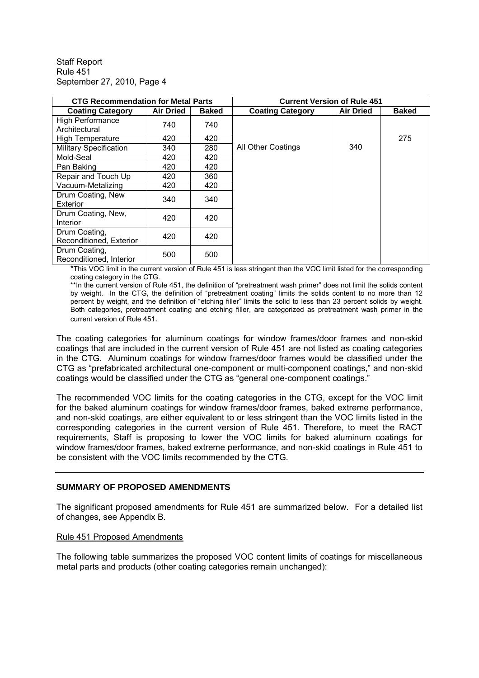| <b>CTG Recommendation for Metal Parts</b> |                  | <b>Current Version of Rule 451</b> |                         |                  |              |
|-------------------------------------------|------------------|------------------------------------|-------------------------|------------------|--------------|
| <b>Coating Category</b>                   | <b>Air Dried</b> | <b>Baked</b>                       | <b>Coating Category</b> | <b>Air Dried</b> | <b>Baked</b> |
| <b>High Performance</b><br>Architectural  | 740              | 740                                |                         |                  |              |
| <b>High Temperature</b>                   | 420              | 420                                |                         |                  | 275          |
| <b>Military Specification</b>             | 340              | 280                                | All Other Coatings      | 340              |              |
| Mold-Seal                                 | 420              | 420                                |                         |                  |              |
| Pan Baking                                | 420              | 420                                |                         |                  |              |
| Repair and Touch Up                       | 420              | 360                                |                         |                  |              |
| Vacuum-Metalizing                         | 420              | 420                                |                         |                  |              |
| Drum Coating, New<br>Exterior             | 340              | 340                                |                         |                  |              |
| Drum Coating, New,<br>Interior            | 420              | 420                                |                         |                  |              |
| Drum Coating,<br>Reconditioned, Exterior  | 420              | 420                                |                         |                  |              |
| Drum Coating,<br>Reconditioned, Interior  | 500              | 500                                |                         |                  |              |

\*This VOC limit in the current version of Rule 451 is less stringent than the VOC limit listed for the corresponding coating category in the CTG.

\*\*In the current version of Rule 451, the definition of "pretreatment wash primer" does not limit the solids content by weight. In the CTG, the definition of "pretreatment coating" limits the solids content to no more than 12 percent by weight, and the definition of "etching filler" limits the solid to less than 23 percent solids by weight. Both categories, pretreatment coating and etching filler, are categorized as pretreatment wash primer in the current version of Rule 451.

The coating categories for aluminum coatings for window frames/door frames and non-skid coatings that are included in the current version of Rule 451 are not listed as coating categories in the CTG. Aluminum coatings for window frames/door frames would be classified under the CTG as "prefabricated architectural one-component or multi-component coatings," and non-skid coatings would be classified under the CTG as "general one-component coatings."

The recommended VOC limits for the coating categories in the CTG, except for the VOC limit for the baked aluminum coatings for window frames/door frames, baked extreme performance, and non-skid coatings, are either equivalent to or less stringent than the VOC limits listed in the corresponding categories in the current version of Rule 451. Therefore, to meet the RACT requirements, Staff is proposing to lower the VOC limits for baked aluminum coatings for window frames/door frames, baked extreme performance, and non-skid coatings in Rule 451 to be consistent with the VOC limits recommended by the CTG.

#### **SUMMARY OF PROPOSED AMENDMENTS**

The significant proposed amendments for Rule 451 are summarized below. For a detailed list of changes, see Appendix B.

# Rule 451 Proposed Amendments

The following table summarizes the proposed VOC content limits of coatings for miscellaneous metal parts and products (other coating categories remain unchanged):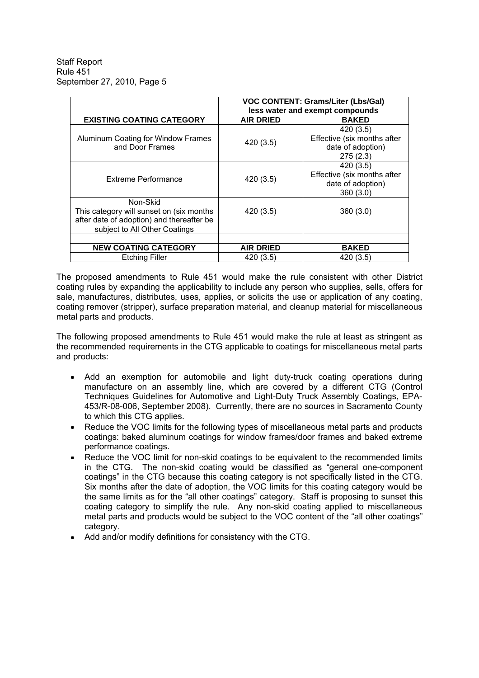|                                                                                                                                    | <b>VOC CONTENT: Grams/Liter (Lbs/Gal)</b><br>less water and exempt compounds |                                                                           |  |  |
|------------------------------------------------------------------------------------------------------------------------------------|------------------------------------------------------------------------------|---------------------------------------------------------------------------|--|--|
| <b>EXISTING COATING CATEGORY</b>                                                                                                   | <b>AIR DRIED</b>                                                             | <b>BAKED</b>                                                              |  |  |
| Aluminum Coating for Window Frames<br>and Door Frames                                                                              | 420 (3.5)                                                                    | 420 (3.5)<br>Effective (six months after<br>date of adoption)<br>275(2.3) |  |  |
| Extreme Performance                                                                                                                | 420 (3.5)                                                                    | 420 (3.5)<br>Effective (six months after<br>date of adoption)<br>360(3.0) |  |  |
| Non-Skid<br>This category will sunset on (six months<br>after date of adoption) and thereafter be<br>subject to All Other Coatings | 420 (3.5)                                                                    | 360(3.0)                                                                  |  |  |
| <b>NEW COATING CATEGORY</b>                                                                                                        | <b>AIR DRIED</b>                                                             | <b>BAKED</b>                                                              |  |  |
| <b>Etching Filler</b>                                                                                                              | 420 (3.5)                                                                    | 420 (3.5)                                                                 |  |  |

The proposed amendments to Rule 451 would make the rule consistent with other District coating rules by expanding the applicability to include any person who supplies, sells, offers for sale, manufactures, distributes, uses, applies, or solicits the use or application of any coating, coating remover (stripper), surface preparation material, and cleanup material for miscellaneous metal parts and products.

The following proposed amendments to Rule 451 would make the rule at least as stringent as the recommended requirements in the CTG applicable to coatings for miscellaneous metal parts and products:

- Add an exemption for automobile and light duty-truck coating operations during manufacture on an assembly line, which are covered by a different CTG (Control Techniques Guidelines for Automotive and Light-Duty Truck Assembly Coatings, EPA-453/R-08-006, September 2008). Currently, there are no sources in Sacramento County to which this CTG applies.
- Reduce the VOC limits for the following types of miscellaneous metal parts and products coatings: baked aluminum coatings for window frames/door frames and baked extreme performance coatings.
- Reduce the VOC limit for non-skid coatings to be equivalent to the recommended limits in the CTG. The non-skid coating would be classified as "general one-component coatings" in the CTG because this coating category is not specifically listed in the CTG. Six months after the date of adoption, the VOC limits for this coating category would be the same limits as for the "all other coatings" category. Staff is proposing to sunset this coating category to simplify the rule. Any non-skid coating applied to miscellaneous metal parts and products would be subject to the VOC content of the "all other coatings" category.
- Add and/or modify definitions for consistency with the CTG.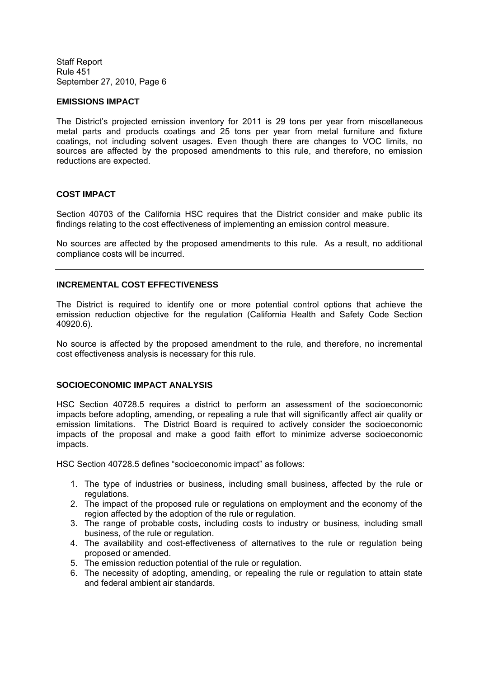#### **EMISSIONS IMPACT**

The District's projected emission inventory for 2011 is 29 tons per year from miscellaneous metal parts and products coatings and 25 tons per year from metal furniture and fixture coatings, not including solvent usages. Even though there are changes to VOC limits, no sources are affected by the proposed amendments to this rule, and therefore, no emission reductions are expected.

#### **COST IMPACT**

Section 40703 of the California HSC requires that the District consider and make public its findings relating to the cost effectiveness of implementing an emission control measure.

No sources are affected by the proposed amendments to this rule. As a result, no additional compliance costs will be incurred.

#### **INCREMENTAL COST EFFECTIVENESS**

The District is required to identify one or more potential control options that achieve the emission reduction objective for the regulation (California Health and Safety Code Section 40920.6).

No source is affected by the proposed amendment to the rule, and therefore, no incremental cost effectiveness analysis is necessary for this rule.

#### **SOCIOECONOMIC IMPACT ANALYSIS**

HSC Section 40728.5 requires a district to perform an assessment of the socioeconomic impacts before adopting, amending, or repealing a rule that will significantly affect air quality or emission limitations. The District Board is required to actively consider the socioeconomic impacts of the proposal and make a good faith effort to minimize adverse socioeconomic impacts.

HSC Section 40728.5 defines "socioeconomic impact" as follows:

- 1. The type of industries or business, including small business, affected by the rule or regulations.
- 2. The impact of the proposed rule or regulations on employment and the economy of the region affected by the adoption of the rule or regulation.
- 3. The range of probable costs, including costs to industry or business, including small business, of the rule or regulation.
- 4. The availability and cost-effectiveness of alternatives to the rule or regulation being proposed or amended.
- 5. The emission reduction potential of the rule or regulation.
- 6. The necessity of adopting, amending, or repealing the rule or regulation to attain state and federal ambient air standards.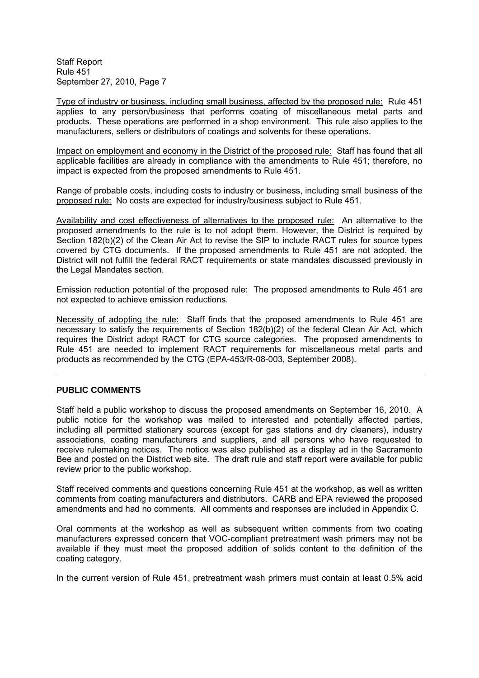Type of industry or business, including small business, affected by the proposed rule: Rule 451 applies to any person/business that performs coating of miscellaneous metal parts and products. These operations are performed in a shop environment. This rule also applies to the manufacturers, sellers or distributors of coatings and solvents for these operations.

Impact on employment and economy in the District of the proposed rule: Staff has found that all applicable facilities are already in compliance with the amendments to Rule 451; therefore, no impact is expected from the proposed amendments to Rule 451.

Range of probable costs, including costs to industry or business, including small business of the proposed rule: No costs are expected for industry/business subject to Rule 451.

Availability and cost effectiveness of alternatives to the proposed rule: An alternative to the proposed amendments to the rule is to not adopt them. However, the District is required by Section 182(b)(2) of the Clean Air Act to revise the SIP to include RACT rules for source types covered by CTG documents. If the proposed amendments to Rule 451 are not adopted, the District will not fulfill the federal RACT requirements or state mandates discussed previously in the Legal Mandates section.

Emission reduction potential of the proposed rule: The proposed amendments to Rule 451 are not expected to achieve emission reductions.

Necessity of adopting the rule: Staff finds that the proposed amendments to Rule 451 are necessary to satisfy the requirements of Section 182(b)(2) of the federal Clean Air Act, which requires the District adopt RACT for CTG source categories. The proposed amendments to Rule 451 are needed to implement RACT requirements for miscellaneous metal parts and products as recommended by the CTG (EPA-453/R-08-003, September 2008).

#### **PUBLIC COMMENTS**

Staff held a public workshop to discuss the proposed amendments on September 16, 2010. A public notice for the workshop was mailed to interested and potentially affected parties, including all permitted stationary sources (except for gas stations and dry cleaners), industry associations, coating manufacturers and suppliers, and all persons who have requested to receive rulemaking notices. The notice was also published as a display ad in the Sacramento Bee and posted on the District web site. The draft rule and staff report were available for public review prior to the public workshop.

Staff received comments and questions concerning Rule 451 at the workshop, as well as written comments from coating manufacturers and distributors. CARB and EPA reviewed the proposed amendments and had no comments. All comments and responses are included in Appendix C.

Oral comments at the workshop as well as subsequent written comments from two coating manufacturers expressed concern that VOC-compliant pretreatment wash primers may not be available if they must meet the proposed addition of solids content to the definition of the coating category.

In the current version of Rule 451, pretreatment wash primers must contain at least 0.5% acid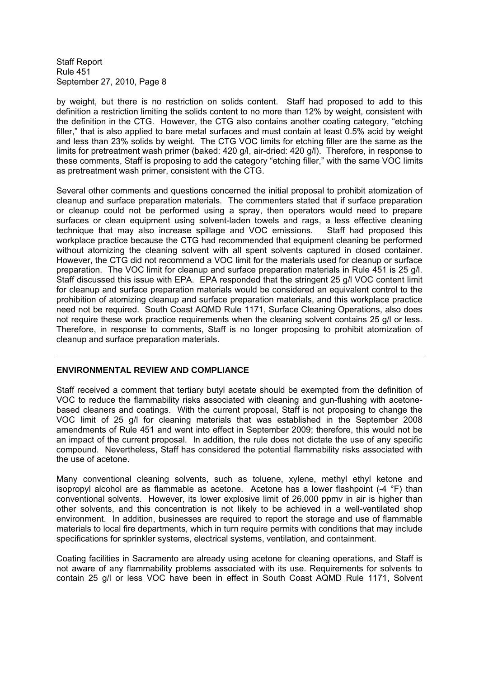by weight, but there is no restriction on solids content. Staff had proposed to add to this definition a restriction limiting the solids content to no more than 12% by weight, consistent with the definition in the CTG. However, the CTG also contains another coating category, "etching filler." that is also applied to bare metal surfaces and must contain at least 0.5% acid by weight and less than 23% solids by weight. The CTG VOC limits for etching filler are the same as the limits for pretreatment wash primer (baked: 420 g/l, air-dried: 420 g/l). Therefore, in response to these comments, Staff is proposing to add the category "etching filler," with the same VOC limits as pretreatment wash primer, consistent with the CTG.

Several other comments and questions concerned the initial proposal to prohibit atomization of cleanup and surface preparation materials. The commenters stated that if surface preparation or cleanup could not be performed using a spray, then operators would need to prepare surfaces or clean equipment using solvent-laden towels and rags, a less effective cleaning technique that may also increase spillage and VOC emissions. Staff had proposed this workplace practice because the CTG had recommended that equipment cleaning be performed without atomizing the cleaning solvent with all spent solvents captured in closed container. However, the CTG did not recommend a VOC limit for the materials used for cleanup or surface preparation. The VOC limit for cleanup and surface preparation materials in Rule 451 is 25 g/l. Staff discussed this issue with EPA. EPA responded that the stringent 25 g/l VOC content limit for cleanup and surface preparation materials would be considered an equivalent control to the prohibition of atomizing cleanup and surface preparation materials, and this workplace practice need not be required. South Coast AQMD Rule 1171, Surface Cleaning Operations, also does not require these work practice requirements when the cleaning solvent contains 25 g/l or less. Therefore, in response to comments, Staff is no longer proposing to prohibit atomization of cleanup and surface preparation materials.

#### **ENVIRONMENTAL REVIEW AND COMPLIANCE**

Staff received a comment that tertiary butyl acetate should be exempted from the definition of VOC to reduce the flammability risks associated with cleaning and gun-flushing with acetonebased cleaners and coatings. With the current proposal, Staff is not proposing to change the VOC limit of 25 g/l for cleaning materials that was established in the September 2008 amendments of Rule 451 and went into effect in September 2009; therefore, this would not be an impact of the current proposal. In addition, the rule does not dictate the use of any specific compound. Nevertheless, Staff has considered the potential flammability risks associated with the use of acetone.

Many conventional cleaning solvents, such as toluene, xylene, methyl ethyl ketone and isopropyl alcohol are as flammable as acetone. Acetone has a lower flashpoint  $(-4 \degree F)$  than conventional solvents. However, its lower explosive limit of 26,000 ppmv in air is higher than other solvents, and this concentration is not likely to be achieved in a well-ventilated shop environment. In addition, businesses are required to report the storage and use of flammable materials to local fire departments, which in turn require permits with conditions that may include specifications for sprinkler systems, electrical systems, ventilation, and containment.

Coating facilities in Sacramento are already using acetone for cleaning operations, and Staff is not aware of any flammability problems associated with its use. Requirements for solvents to contain 25 g/l or less VOC have been in effect in South Coast AQMD Rule 1171, Solvent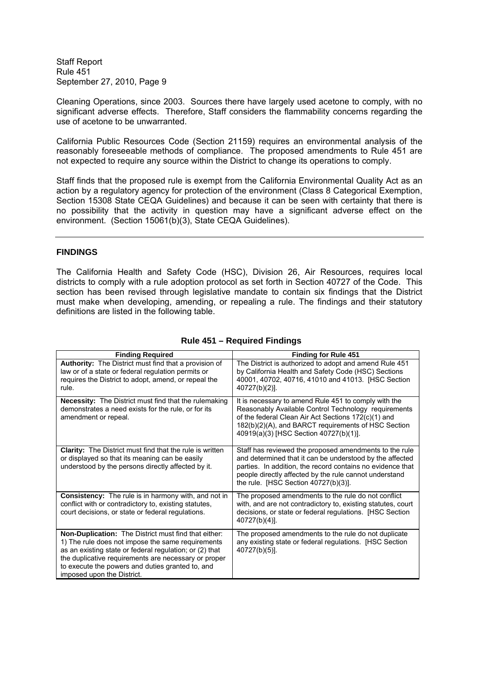Cleaning Operations, since 2003. Sources there have largely used acetone to comply, with no significant adverse effects. Therefore, Staff considers the flammability concerns regarding the use of acetone to be unwarranted.

California Public Resources Code (Section 21159) requires an environmental analysis of the reasonably foreseeable methods of compliance. The proposed amendments to Rule 451 are not expected to require any source within the District to change its operations to comply.

Staff finds that the proposed rule is exempt from the California Environmental Quality Act as an action by a regulatory agency for protection of the environment (Class 8 Categorical Exemption, Section 15308 State CEQA Guidelines) and because it can be seen with certainty that there is no possibility that the activity in question may have a significant adverse effect on the environment. (Section 15061(b)(3), State CEQA Guidelines).

#### **FINDINGS**

The California Health and Safety Code (HSC), Division 26, Air Resources, requires local districts to comply with a rule adoption protocol as set forth in Section 40727 of the Code. This section has been revised through legislative mandate to contain six findings that the District must make when developing, amending, or repealing a rule. The findings and their statutory definitions are listed in the following table.

| <b>Finding Required</b>                                                                                                                                                                                                                                                                                        | <b>Finding for Rule 451</b>                                                                                                                                                                                                                                                        |
|----------------------------------------------------------------------------------------------------------------------------------------------------------------------------------------------------------------------------------------------------------------------------------------------------------------|------------------------------------------------------------------------------------------------------------------------------------------------------------------------------------------------------------------------------------------------------------------------------------|
| <b>Authority:</b> The District must find that a provision of<br>law or of a state or federal regulation permits or<br>requires the District to adopt, amend, or repeal the<br>rule.                                                                                                                            | The District is authorized to adopt and amend Rule 451<br>by California Health and Safety Code (HSC) Sections<br>40001, 40702, 40716, 41010 and 41013. [HSC Section<br>40727(b)(2)].                                                                                               |
| <b>Necessity:</b> The District must find that the rulemaking<br>demonstrates a need exists for the rule, or for its<br>amendment or repeal.                                                                                                                                                                    | It is necessary to amend Rule 451 to comply with the<br>Reasonably Available Control Technology requirements<br>of the federal Clean Air Act Sections 172(c)(1) and<br>182(b)(2)(A), and BARCT requirements of HSC Section<br>40919(a)(3) [HSC Section 40727(b)(1)].               |
| <b>Clarity:</b> The District must find that the rule is written<br>or displayed so that its meaning can be easily<br>understood by the persons directly affected by it.                                                                                                                                        | Staff has reviewed the proposed amendments to the rule<br>and determined that it can be understood by the affected<br>parties. In addition, the record contains no evidence that<br>people directly affected by the rule cannot understand<br>the rule. [HSC Section 40727(b)(3)]. |
| <b>Consistency:</b> The rule is in harmony with, and not in<br>conflict with or contradictory to, existing statutes,<br>court decisions, or state or federal regulations.                                                                                                                                      | The proposed amendments to the rule do not conflict<br>with, and are not contradictory to, existing statutes, court<br>decisions, or state or federal regulations. [HSC Section<br>$40727(b)(4)$ ].                                                                                |
| Non-Duplication: The District must find that either:<br>1) The rule does not impose the same requirements<br>as an existing state or federal regulation; or (2) that<br>the duplicative requirements are necessary or proper<br>to execute the powers and duties granted to, and<br>imposed upon the District. | The proposed amendments to the rule do not duplicate<br>any existing state or federal regulations. [HSC Section<br>40727(b)(5)].                                                                                                                                                   |

## **Rule 451 – Required Findings**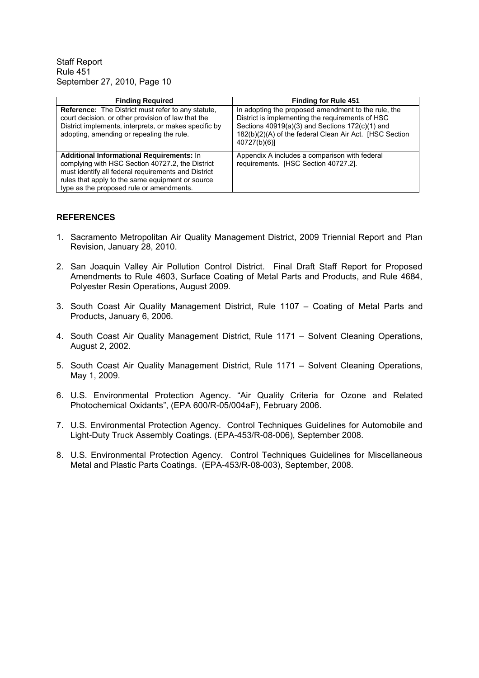| <b>Finding Required</b>                                                                                                                                                                                                                                     | <b>Finding for Rule 451</b>                                                                                                                                                                                                           |
|-------------------------------------------------------------------------------------------------------------------------------------------------------------------------------------------------------------------------------------------------------------|---------------------------------------------------------------------------------------------------------------------------------------------------------------------------------------------------------------------------------------|
| <b>Reference:</b> The District must refer to any statute.<br>court decision, or other provision of law that the<br>District implements, interprets, or makes specific by<br>adopting, amending or repealing the rule.                                       | In adopting the proposed amendment to the rule, the<br>District is implementing the requirements of HSC<br>Sections 40919(a)(3) and Sections 172(c)(1) and<br>182(b)(2)(A) of the federal Clean Air Act. [HSC Section<br>40727(b)(6)] |
| <b>Additional Informational Requirements: In</b><br>complying with HSC Section 40727.2, the District<br>must identify all federal requirements and District<br>rules that apply to the same equipment or source<br>type as the proposed rule or amendments. | Appendix A includes a comparison with federal<br>requirements. [HSC Section 40727.2].                                                                                                                                                 |

#### **REFERENCES**

- 1. Sacramento Metropolitan Air Quality Management District, 2009 Triennial Report and Plan Revision, January 28, 2010.
- 2. San Joaquin Valley Air Pollution Control District. Final Draft Staff Report for Proposed Amendments to Rule 4603, Surface Coating of Metal Parts and Products, and Rule 4684, Polyester Resin Operations, August 2009.
- 3. South Coast Air Quality Management District, Rule 1107 Coating of Metal Parts and Products, January 6, 2006.
- 4. South Coast Air Quality Management District, Rule 1171 Solvent Cleaning Operations, August 2, 2002.
- 5. South Coast Air Quality Management District, Rule 1171 Solvent Cleaning Operations, May 1, 2009.
- 6. U.S. Environmental Protection Agency. "Air Quality Criteria for Ozone and Related Photochemical Oxidants", (EPA 600/R-05/004aF), February 2006.
- 7. U.S. Environmental Protection Agency. Control Techniques Guidelines for Automobile and Light-Duty Truck Assembly Coatings. (EPA-453/R-08-006), September 2008.
- 8. U.S. Environmental Protection Agency. Control Techniques Guidelines for Miscellaneous Metal and Plastic Parts Coatings. (EPA-453/R-08-003), September, 2008.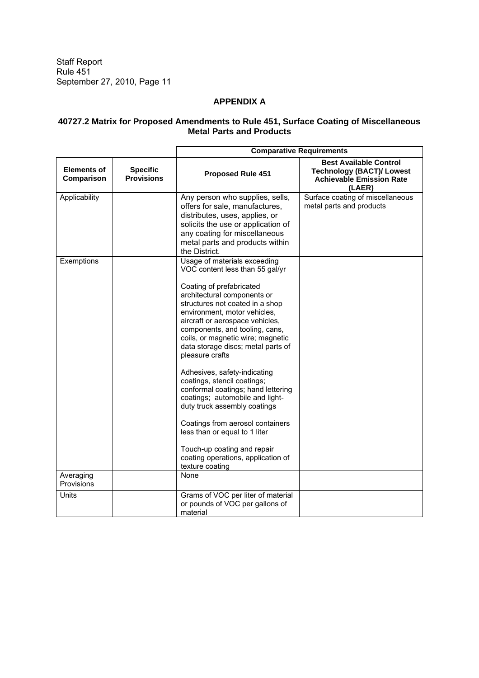# **APPENDIX A**

#### **40727.2 Matrix for Proposed Amendments to Rule 451, Surface Coating of Miscellaneous Metal Parts and Products**

|                                  |                                      | <b>Comparative Requirements</b>                                                                                                                                                                                                                                                                                                                                                                                                                                                                                                                                                                                                                                                                       |                                                                                                                |  |
|----------------------------------|--------------------------------------|-------------------------------------------------------------------------------------------------------------------------------------------------------------------------------------------------------------------------------------------------------------------------------------------------------------------------------------------------------------------------------------------------------------------------------------------------------------------------------------------------------------------------------------------------------------------------------------------------------------------------------------------------------------------------------------------------------|----------------------------------------------------------------------------------------------------------------|--|
| <b>Elements of</b><br>Comparison | <b>Specific</b><br><b>Provisions</b> | <b>Proposed Rule 451</b>                                                                                                                                                                                                                                                                                                                                                                                                                                                                                                                                                                                                                                                                              | <b>Best Available Control</b><br><b>Technology (BACT)/ Lowest</b><br><b>Achievable Emission Rate</b><br>(LAER) |  |
| Applicability                    |                                      | Any person who supplies, sells,<br>offers for sale, manufactures,<br>distributes, uses, applies, or<br>solicits the use or application of<br>any coating for miscellaneous<br>metal parts and products within<br>the District.                                                                                                                                                                                                                                                                                                                                                                                                                                                                        | Surface coating of miscellaneous<br>metal parts and products                                                   |  |
| Exemptions                       |                                      | Usage of materials exceeding<br>VOC content less than 55 gal/yr<br>Coating of prefabricated<br>architectural components or<br>structures not coated in a shop<br>environment, motor vehicles,<br>aircraft or aerospace vehicles,<br>components, and tooling, cans,<br>coils, or magnetic wire; magnetic<br>data storage discs; metal parts of<br>pleasure crafts<br>Adhesives, safety-indicating<br>coatings, stencil coatings;<br>conformal coatings; hand lettering<br>coatings; automobile and light-<br>duty truck assembly coatings<br>Coatings from aerosol containers<br>less than or equal to 1 liter<br>Touch-up coating and repair<br>coating operations, application of<br>texture coating |                                                                                                                |  |
| Averaging<br>Provisions          |                                      | None                                                                                                                                                                                                                                                                                                                                                                                                                                                                                                                                                                                                                                                                                                  |                                                                                                                |  |
| Units                            |                                      | Grams of VOC per liter of material<br>or pounds of VOC per gallons of<br>material                                                                                                                                                                                                                                                                                                                                                                                                                                                                                                                                                                                                                     |                                                                                                                |  |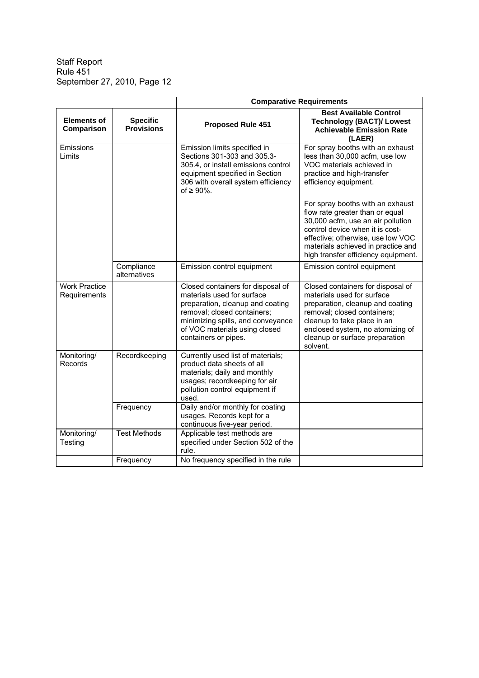|                                      |                                      | <b>Comparative Requirements</b>                                                                                                                                                                                                  |                                                                                                                                                                                                                                                               |  |
|--------------------------------------|--------------------------------------|----------------------------------------------------------------------------------------------------------------------------------------------------------------------------------------------------------------------------------|---------------------------------------------------------------------------------------------------------------------------------------------------------------------------------------------------------------------------------------------------------------|--|
| <b>Elements of</b><br>Comparison     | <b>Specific</b><br><b>Provisions</b> | Proposed Rule 451                                                                                                                                                                                                                | <b>Best Available Control</b><br><b>Technology (BACT)/ Lowest</b><br><b>Achievable Emission Rate</b><br>(LAER)                                                                                                                                                |  |
| Emissions<br>Limits                  |                                      | Emission limits specified in<br>Sections 301-303 and 305.3-<br>305.4, or install emissions control<br>equipment specified in Section<br>306 with overall system efficiency<br>of $\geq 90\%$ .                                   | For spray booths with an exhaust<br>less than 30,000 acfm, use low<br>VOC materials achieved in<br>practice and high-transfer<br>efficiency equipment.                                                                                                        |  |
|                                      |                                      |                                                                                                                                                                                                                                  | For spray booths with an exhaust<br>flow rate greater than or equal<br>30,000 acfm, use an air pollution<br>control device when it is cost-<br>effective; otherwise, use low VOC<br>materials achieved in practice and<br>high transfer efficiency equipment. |  |
|                                      | Compliance<br>alternatives           | Emission control equipment                                                                                                                                                                                                       | Emission control equipment                                                                                                                                                                                                                                    |  |
| <b>Work Practice</b><br>Requirements |                                      | Closed containers for disposal of<br>materials used for surface<br>preparation, cleanup and coating<br>removal; closed containers;<br>minimizing spills, and conveyance<br>of VOC materials using closed<br>containers or pipes. | Closed containers for disposal of<br>materials used for surface<br>preparation, cleanup and coating<br>removal; closed containers;<br>cleanup to take place in an<br>enclosed system, no atomizing of<br>cleanup or surface preparation<br>solvent.           |  |
| Monitoring/<br>Records               | Recordkeeping                        | Currently used list of materials;<br>product data sheets of all<br>materials; daily and monthly<br>usages; recordkeeping for air<br>pollution control equipment if<br>used.                                                      |                                                                                                                                                                                                                                                               |  |
|                                      | Frequency                            | Daily and/or monthly for coating<br>usages. Records kept for a<br>continuous five-year period.                                                                                                                                   |                                                                                                                                                                                                                                                               |  |
| Monitoring/<br>Testing               | <b>Test Methods</b>                  | Applicable test methods are<br>specified under Section 502 of the<br>rule.                                                                                                                                                       |                                                                                                                                                                                                                                                               |  |
|                                      | Frequency                            | No frequency specified in the rule                                                                                                                                                                                               |                                                                                                                                                                                                                                                               |  |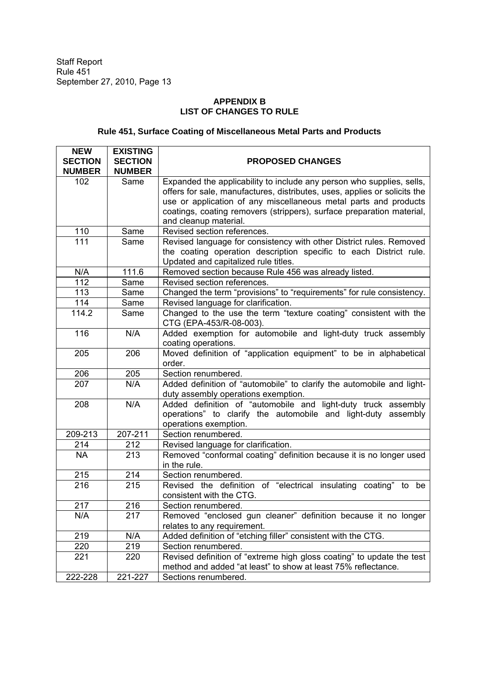# **APPENDIX B LIST OF CHANGES TO RULE**

# **Rule 451, Surface Coating of Miscellaneous Metal Parts and Products**

| <b>NEW</b>       | <b>EXISTING</b>  |                                                                                              |
|------------------|------------------|----------------------------------------------------------------------------------------------|
| <b>SECTION</b>   | <b>SECTION</b>   | <b>PROPOSED CHANGES</b>                                                                      |
| <b>NUMBER</b>    | <b>NUMBER</b>    |                                                                                              |
| 102              | Same             | Expanded the applicability to include any person who supplies, sells,                        |
|                  |                  | offers for sale, manufactures, distributes, uses, applies or solicits the                    |
|                  |                  | use or application of any miscellaneous metal parts and products                             |
|                  |                  | coatings, coating removers (strippers), surface preparation material,                        |
|                  |                  | and cleanup material.                                                                        |
| 110              | Same             | Revised section references.                                                                  |
| 111              | Same             | Revised language for consistency with other District rules. Removed                          |
|                  |                  | the coating operation description specific to each District rule.                            |
|                  |                  | Updated and capitalized rule titles.                                                         |
| N/A              | 111.6            | Removed section because Rule 456 was already listed.                                         |
| 112              | Same             | Revised section references.                                                                  |
| 113              | Same             | Changed the term "provisions" to "requirements" for rule consistency.                        |
| 114              | Same             | Revised language for clarification.                                                          |
| 114.2            | Same             | Changed to the use the term "texture coating" consistent with the<br>CTG (EPA-453/R-08-003). |
| 116              | N/A              | Added exemption for automobile and light-duty truck assembly                                 |
|                  |                  | coating operations.                                                                          |
| 205              | 206              | Moved definition of "application equipment" to be in alphabetical                            |
|                  |                  | order.                                                                                       |
| 206              | 205              | Section renumbered.                                                                          |
| 207              | N/A              | Added definition of "automobile" to clarify the automobile and light-                        |
|                  |                  | duty assembly operations exemption.                                                          |
| 208              | N/A              | Added definition of "automobile and light-duty truck assembly                                |
|                  |                  | operations" to clarify the automobile and light-duty assembly                                |
|                  |                  | operations exemption.                                                                        |
| 209-213          | 207-211          | Section renumbered.                                                                          |
| 214              | 212              | Revised language for clarification.                                                          |
| <b>NA</b>        | $\overline{213}$ | Removed "conformal coating" definition because it is no longer used                          |
|                  |                  | in the rule.                                                                                 |
| 215              | 214              | Section renumbered.                                                                          |
| $\overline{216}$ | $\overline{215}$ | Revised the definition of "electrical insulating coating" to be                              |
|                  |                  | consistent with the CTG.                                                                     |
| 217              | 216              | Section renumbered.                                                                          |
| N/A              | 217              | Removed "enclosed gun cleaner" definition because it no longer                               |
|                  |                  | relates to any requirement.                                                                  |
| 219              | N/A              | Added definition of "etching filler" consistent with the CTG.                                |
| 220              | 219              | Section renumbered.                                                                          |
| 221              | 220              | Revised definition of "extreme high gloss coating" to update the test                        |
|                  |                  | method and added "at least" to show at least 75% reflectance.                                |
| 222-228          | 221-227          | Sections renumbered.                                                                         |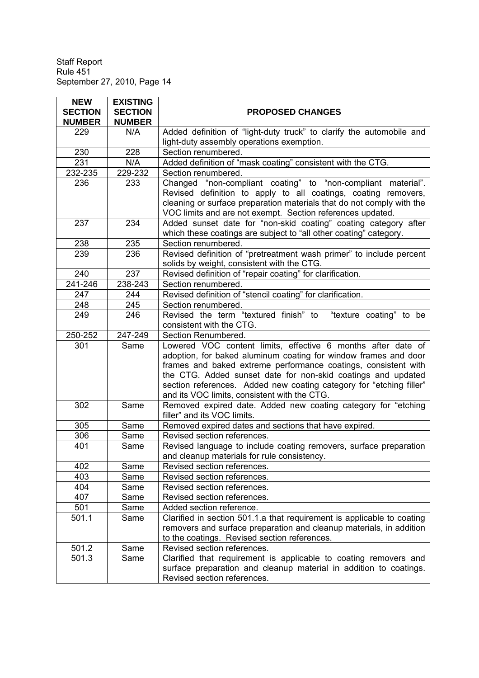| <b>NEW</b>     | <b>EXISTING</b> |                                                                                                                                                                                                                                                                                                                                                                                          |
|----------------|-----------------|------------------------------------------------------------------------------------------------------------------------------------------------------------------------------------------------------------------------------------------------------------------------------------------------------------------------------------------------------------------------------------------|
| <b>SECTION</b> | <b>SECTION</b>  | <b>PROPOSED CHANGES</b>                                                                                                                                                                                                                                                                                                                                                                  |
| <b>NUMBER</b>  | <b>NUMBER</b>   |                                                                                                                                                                                                                                                                                                                                                                                          |
| 229            | N/A             | Added definition of "light-duty truck" to clarify the automobile and                                                                                                                                                                                                                                                                                                                     |
|                |                 | light-duty assembly operations exemption.                                                                                                                                                                                                                                                                                                                                                |
| 230            | 228             | Section renumbered.                                                                                                                                                                                                                                                                                                                                                                      |
| 231            | N/A             | Added definition of "mask coating" consistent with the CTG.                                                                                                                                                                                                                                                                                                                              |
| 232-235        | 229-232         | Section renumbered.                                                                                                                                                                                                                                                                                                                                                                      |
| 236            | 233             | Changed "non-compliant coating" to "non-compliant material".<br>Revised definition to apply to all coatings, coating removers,<br>cleaning or surface preparation materials that do not comply with the<br>VOC limits and are not exempt. Section references updated.                                                                                                                    |
| 237            | 234             | Added sunset date for "non-skid coating" coating category after<br>which these coatings are subject to "all other coating" category.                                                                                                                                                                                                                                                     |
| 238            | 235             | Section renumbered.                                                                                                                                                                                                                                                                                                                                                                      |
| 239            | 236             | Revised definition of "pretreatment wash primer" to include percent                                                                                                                                                                                                                                                                                                                      |
|                |                 | solids by weight, consistent with the CTG.                                                                                                                                                                                                                                                                                                                                               |
| 240            | 237             | Revised definition of "repair coating" for clarification.                                                                                                                                                                                                                                                                                                                                |
| 241-246        | 238-243         | Section renumbered.                                                                                                                                                                                                                                                                                                                                                                      |
| 247            | 244             | Revised definition of "stencil coating" for clarification.                                                                                                                                                                                                                                                                                                                               |
| 248            | 245             | Section renumbered.                                                                                                                                                                                                                                                                                                                                                                      |
| 249            | 246             | Revised the term "textured finish" to<br>"texture coating" to be                                                                                                                                                                                                                                                                                                                         |
|                |                 | consistent with the CTG.                                                                                                                                                                                                                                                                                                                                                                 |
| 250-252        | 247-249         | Section Renumbered.                                                                                                                                                                                                                                                                                                                                                                      |
| 301            | Same            | Lowered VOC content limits, effective 6 months after date of<br>adoption, for baked aluminum coating for window frames and door<br>frames and baked extreme performance coatings, consistent with<br>the CTG. Added sunset date for non-skid coatings and updated<br>section references. Added new coating category for "etching filler"<br>and its VOC limits, consistent with the CTG. |
| 302            | Same            | Removed expired date. Added new coating category for "etching<br>filler" and its VOC limits.                                                                                                                                                                                                                                                                                             |
| 305            | Same            | Removed expired dates and sections that have expired.                                                                                                                                                                                                                                                                                                                                    |
| 306            | Same            | Revised section references.                                                                                                                                                                                                                                                                                                                                                              |
| 401            | Same            | Revised language to include coating removers, surface preparation<br>and cleanup materials for rule consistency.                                                                                                                                                                                                                                                                         |
| 402            | Same            | Revised section references.                                                                                                                                                                                                                                                                                                                                                              |
| 403            | Same            | Revised section references.                                                                                                                                                                                                                                                                                                                                                              |
| 404            | Same            | Revised section references.                                                                                                                                                                                                                                                                                                                                                              |
| 407            | Same            | Revised section references.                                                                                                                                                                                                                                                                                                                                                              |
| 501            | Same            | Added section reference.                                                                                                                                                                                                                                                                                                                                                                 |
| 501.1          | Same            | Clarified in section 501.1.a that requirement is applicable to coating<br>removers and surface preparation and cleanup materials, in addition<br>to the coatings. Revised section references.                                                                                                                                                                                            |
| 501.2          | Same            | Revised section references.                                                                                                                                                                                                                                                                                                                                                              |
| 501.3          | Same            | Clarified that requirement is applicable to coating removers and<br>surface preparation and cleanup material in addition to coatings.<br>Revised section references.                                                                                                                                                                                                                     |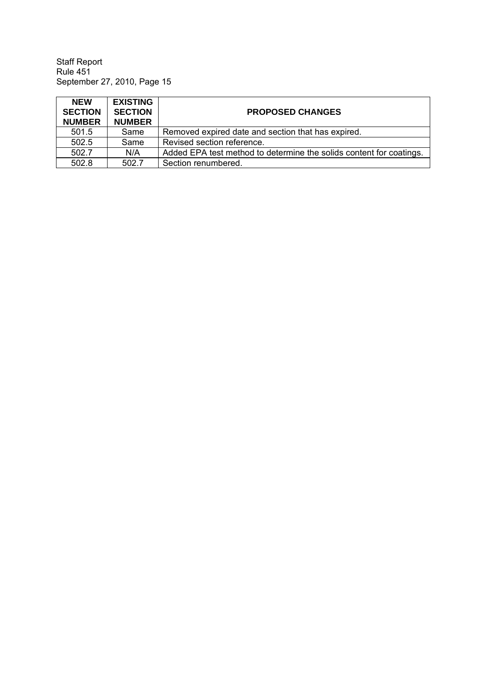| <b>NEW</b><br><b>SECTION</b><br><b>NUMBER</b> | <b>EXISTING</b><br><b>SECTION</b><br><b>NUMBER</b> | <b>PROPOSED CHANGES</b>                                             |
|-----------------------------------------------|----------------------------------------------------|---------------------------------------------------------------------|
| 501.5                                         | Same                                               | Removed expired date and section that has expired.                  |
| 502.5                                         | Same                                               | Revised section reference.                                          |
| 502.7                                         | N/A                                                | Added EPA test method to determine the solids content for coatings. |
| 502.8                                         | 502.7                                              | Section renumbered.                                                 |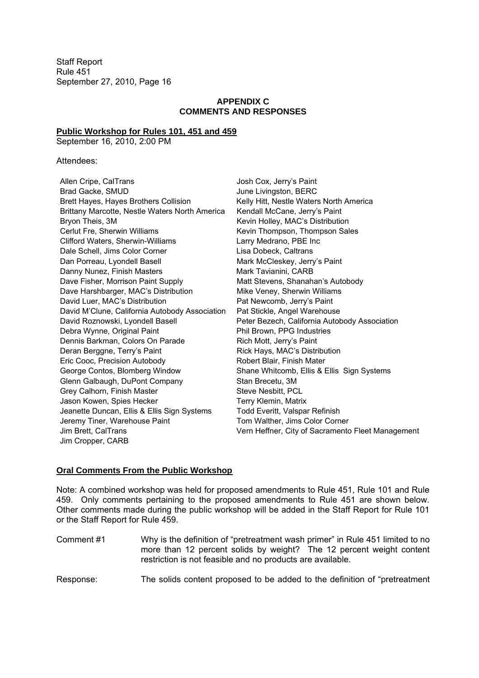# **APPENDIX C COMMENTS AND RESPONSES**

## **Public Workshop for Rules 101, 451 and 459**

September 16, 2010, 2:00 PM

#### Attendees:

| Allen Cripe, CalTrans                          |
|------------------------------------------------|
| Brad Gacke, SMUD                               |
| Brett Hayes, Hayes Brothers Collision          |
| Brittany Marcotte, Nestle Waters North America |
| Bryon Theis, 3M                                |
| Cerlut Fre, Sherwin Williams                   |
| Clifford Waters, Sherwin-Williams              |
| Dale Schell, Jims Color Corner                 |
| Dan Porreau, Lyondell Basell                   |
| Danny Nunez, Finish Masters                    |
| Dave Fisher, Morrison Paint Supply             |
| Dave Harshbarger, MAC's Distribution           |
| David Luer, MAC's Distribution                 |
| David M'Clune, California Autobody Association |
| David Roznowski, Lyondell Basell               |
| Debra Wynne, Original Paint                    |
| Dennis Barkman, Colors On Parade               |
| Deran Berggne, Terry's Paint                   |
| Eric Cooc, Precision Autobody                  |
| George Contos, Blomberg Window                 |
| Glenn Galbaugh, DuPont Company                 |
| Grey Calhorn, Finish Master                    |
| Jason Kowen, Spies Hecker                      |
| Jeanette Duncan, Ellis & Ellis Sign Systems    |
| Jeremy Tiner, Warehouse Paint                  |
| Jim Brett, CalTrans                            |
| Jim Cropper, CARB                              |

Josh Cox, Jerry's Paint June Livingston, BERC Kelly Hitt, Nestle Waters North America Kendall McCane, Jerry's Paint Kevin Holley, MAC's Distribution Kevin Thompson, Thompson Sales Larry Medrano, PBE Inc Lisa Dobeck, Caltrans Mark McCleskey, Jerry's Paint Mark Tavianini, CARB Matt Stevens, Shanahan's Autobody Mike Veney, Sherwin Williams Pat Newcomb, Jerry's Paint Pat Stickle, Angel Warehouse Peter Bezech, California Autobody Association Phil Brown, PPG Industries Rich Mott, Jerry's Paint Rick Hays, MAC's Distribution Robert Blair, Finish Mater Shane Whitcomb, Ellis & Ellis Sign Systems Stan Brecetu, 3M Steve Nesbitt, PCL Terry Klemin, Matrix Todd Everitt, Valspar Refinish Tom Walther, Jims Color Corner Vern Heffner, City of Sacramento Fleet Management

#### **Oral Comments From the Public Workshop**

Note: A combined workshop was held for proposed amendments to Rule 451, Rule 101 and Rule 459. Only comments pertaining to the proposed amendments to Rule 451 are shown below. Other comments made during the public workshop will be added in the Staff Report for Rule 101 or the Staff Report for Rule 459.

| Comment #1 | Why is the definition of "pretreatment wash primer" in Rule 451 limited to no<br>more than 12 percent solids by weight? The 12 percent weight content<br>restriction is not feasible and no products are available. |
|------------|---------------------------------------------------------------------------------------------------------------------------------------------------------------------------------------------------------------------|
| Response:  | The solids content proposed to be added to the definition of "pretreatment"                                                                                                                                         |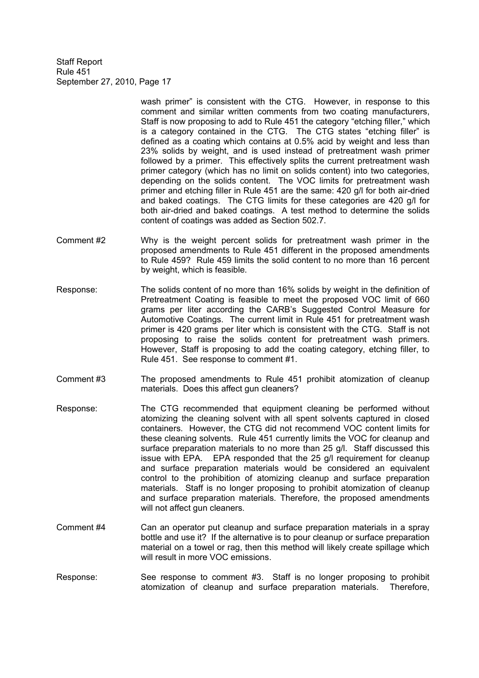> wash primer" is consistent with the CTG. However, in response to this comment and similar written comments from two coating manufacturers, Staff is now proposing to add to Rule 451 the category "etching filler," which is a category contained in the CTG. The CTG states "etching filler" is defined as a coating which contains at 0.5% acid by weight and less than 23% solids by weight, and is used instead of pretreatment wash primer followed by a primer. This effectively splits the current pretreatment wash primer category (which has no limit on solids content) into two categories, depending on the solids content. The VOC limits for pretreatment wash primer and etching filler in Rule 451 are the same: 420 g/l for both air-dried and baked coatings. The CTG limits for these categories are 420 g/l for both air-dried and baked coatings. A test method to determine the solids content of coatings was added as Section 502.7.

- Comment #2 Why is the weight percent solids for pretreatment wash primer in the proposed amendments to Rule 451 different in the proposed amendments to Rule 459? Rule 459 limits the solid content to no more than 16 percent by weight, which is feasible.
- Response: The solids content of no more than 16% solids by weight in the definition of Pretreatment Coating is feasible to meet the proposed VOC limit of 660 grams per liter according the CARB's Suggested Control Measure for Automotive Coatings. The current limit in Rule 451 for pretreatment wash primer is 420 grams per liter which is consistent with the CTG. Staff is not proposing to raise the solids content for pretreatment wash primers. However, Staff is proposing to add the coating category, etching filler, to Rule 451. See response to comment #1.
- Comment #3 The proposed amendments to Rule 451 prohibit atomization of cleanup materials. Does this affect gun cleaners?
- Response: The CTG recommended that equipment cleaning be performed without atomizing the cleaning solvent with all spent solvents captured in closed containers. However, the CTG did not recommend VOC content limits for these cleaning solvents. Rule 451 currently limits the VOC for cleanup and surface preparation materials to no more than 25 g/l. Staff discussed this issue with EPA. EPA responded that the 25 g/l requirement for cleanup and surface preparation materials would be considered an equivalent control to the prohibition of atomizing cleanup and surface preparation materials. Staff is no longer proposing to prohibit atomization of cleanup and surface preparation materials. Therefore, the proposed amendments will not affect gun cleaners.
- Comment #4 Can an operator put cleanup and surface preparation materials in a spray bottle and use it? If the alternative is to pour cleanup or surface preparation material on a towel or rag, then this method will likely create spillage which will result in more VOC emissions.
- Response: See response to comment #3. Staff is no longer proposing to prohibit atomization of cleanup and surface preparation materials. Therefore,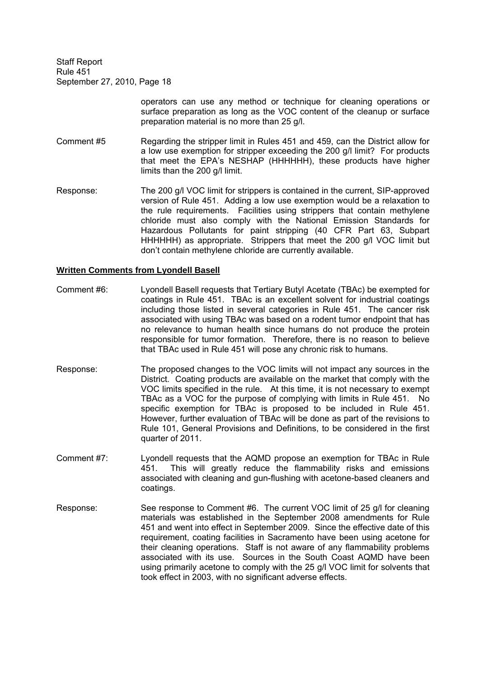> operators can use any method or technique for cleaning operations or surface preparation as long as the VOC content of the cleanup or surface preparation material is no more than 25 g/l.

- Comment #5 Regarding the stripper limit in Rules 451 and 459, can the District allow for a low use exemption for stripper exceeding the 200 g/l limit? For products that meet the EPA's NESHAP (HHHHHH), these products have higher limits than the 200 g/l limit.
- Response: The 200 g/l VOC limit for strippers is contained in the current, SIP-approved version of Rule 451. Adding a low use exemption would be a relaxation to the rule requirements. Facilities using strippers that contain methylene chloride must also comply with the National Emission Standards for Hazardous Pollutants for paint stripping (40 CFR Part 63, Subpart HHHHHH) as appropriate. Strippers that meet the 200 g/l VOC limit but don't contain methylene chloride are currently available.

#### **Written Comments from Lyondell Basell**

- Comment #6: Lyondell Basell requests that Tertiary Butyl Acetate (TBAc) be exempted for coatings in Rule 451. TBAc is an excellent solvent for industrial coatings including those listed in several categories in Rule 451. The cancer risk associated with using TBAc was based on a rodent tumor endpoint that has no relevance to human health since humans do not produce the protein responsible for tumor formation. Therefore, there is no reason to believe that TBAc used in Rule 451 will pose any chronic risk to humans.
- Response: The proposed changes to the VOC limits will not impact any sources in the District. Coating products are available on the market that comply with the VOC limits specified in the rule. At this time, it is not necessary to exempt TBAc as a VOC for the purpose of complying with limits in Rule 451. No specific exemption for TBAc is proposed to be included in Rule 451. However, further evaluation of TBAc will be done as part of the revisions to Rule 101, General Provisions and Definitions, to be considered in the first quarter of 2011.
- Comment #7: Lyondell requests that the AQMD propose an exemption for TBAc in Rule 451. This will greatly reduce the flammability risks and emissions associated with cleaning and gun-flushing with acetone-based cleaners and coatings.
- Response: See response to Comment #6. The current VOC limit of 25 g/l for cleaning materials was established in the September 2008 amendments for Rule 451 and went into effect in September 2009. Since the effective date of this requirement, coating facilities in Sacramento have been using acetone for their cleaning operations. Staff is not aware of any flammability problems associated with its use. Sources in the South Coast AQMD have been using primarily acetone to comply with the 25 g/l VOC limit for solvents that took effect in 2003, with no significant adverse effects.